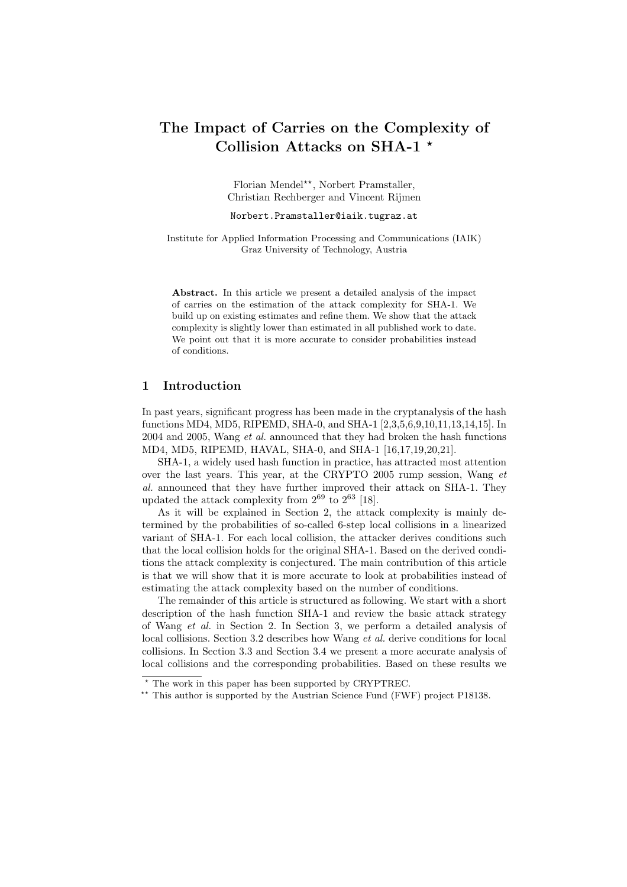# The Impact of Carries on the Complexity of Collision Attacks on SHA-1 ?

Florian Mendel??, Norbert Pramstaller, Christian Rechberger and Vincent Rijmen

#### Norbert.Pramstaller@iaik.tugraz.at

Institute for Applied Information Processing and Communications (IAIK) Graz University of Technology, Austria

Abstract. In this article we present a detailed analysis of the impact of carries on the estimation of the attack complexity for SHA-1. We build up on existing estimates and refine them. We show that the attack complexity is slightly lower than estimated in all published work to date. We point out that it is more accurate to consider probabilities instead of conditions.

# 1 Introduction

In past years, significant progress has been made in the cryptanalysis of the hash functions MD4, MD5, RIPEMD, SHA-0, and SHA-1 [2,3,5,6,9,10,11,13,14,15]. In 2004 and 2005, Wang et al. announced that they had broken the hash functions MD4, MD5, RIPEMD, HAVAL, SHA-0, and SHA-1 [16,17,19,20,21].

SHA-1, a widely used hash function in practice, has attracted most attention over the last years. This year, at the CRYPTO 2005 rump session, Wang et al. announced that they have further improved their attack on SHA-1. They updated the attack complexity from  $2^{69}$  to  $2^{63}$  [18].

As it will be explained in Section 2, the attack complexity is mainly determined by the probabilities of so-called 6-step local collisions in a linearized variant of SHA-1. For each local collision, the attacker derives conditions such that the local collision holds for the original SHA-1. Based on the derived conditions the attack complexity is conjectured. The main contribution of this article is that we will show that it is more accurate to look at probabilities instead of estimating the attack complexity based on the number of conditions.

The remainder of this article is structured as following. We start with a short description of the hash function SHA-1 and review the basic attack strategy of Wang et al. in Section 2. In Section 3, we perform a detailed analysis of local collisions. Section 3.2 describes how Wang et al. derive conditions for local collisions. In Section 3.3 and Section 3.4 we present a more accurate analysis of local collisions and the corresponding probabilities. Based on these results we

<sup>?</sup> The work in this paper has been supported by CRYPTREC.

<sup>\*\*</sup> This author is supported by the Austrian Science Fund (FWF) project P18138.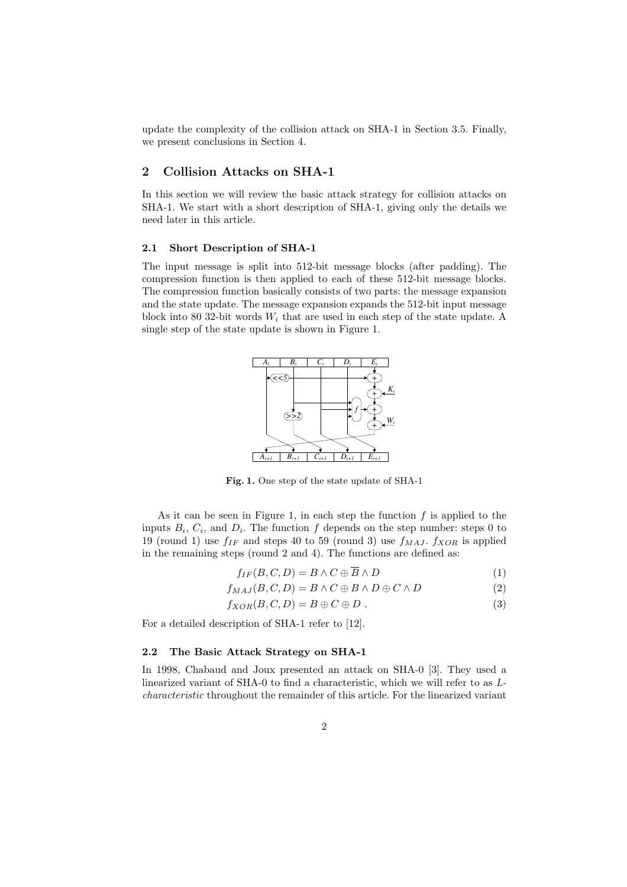update the complexity of the collision attack on SHA-1 in Section 3.5. Finally, we present conclusions in Section 4.

# 2 Collision Attacks on SHA-1

In this section we will review the basic attack strategy for collision attacks on SHA-1. We start with a short description of SHA-1, giving only the details we need later in this article.

### 2.1 Short Description of SHA-1

The input message is split into 512-bit message blocks (after padding). The compression function is then applied to each of these 512-bit message blocks. The compression function basically consists of two parts: the message expansion and the state update. The message expansion expands the 512-bit input message block into 80 32-bit words  $W_i$  that are used in each step of the state update. A single step of the state update is shown in Figure 1.



Fig. 1. One step of the state update of SHA-1

As it can be seen in Figure 1, in each step the function  $f$  is applied to the inputs  $B_i$ ,  $C_i$ , and  $D_i$ . The function f depends on the step number: steps 0 to 19 (round 1) use  $f_{IF}$  and steps 40 to 59 (round 3) use  $f_{MAJ}$ .  $f_{XOR}$  is applied in the remaining steps (round 2 and 4). The functions are defined as:

$$
f_{IF}(B, C, D) = B \land C \oplus \overline{B} \land D \tag{1}
$$

 $f_{MAJ}(B, C, D) = B \wedge C \oplus B \wedge D \oplus C \wedge D$  (2)

$$
f_{XOR}(B, C, D) = B \oplus C \oplus D . \qquad (3)
$$

For a detailed description of SHA-1 refer to [12].

#### 2.2 The Basic Attack Strategy on SHA-1

In 1998, Chabaud and Joux presented an attack on SHA-0 [3]. They used a linearized variant of SHA-0 to find a characteristic, which we will refer to as Lcharacteristic throughout the remainder of this article. For the linearized variant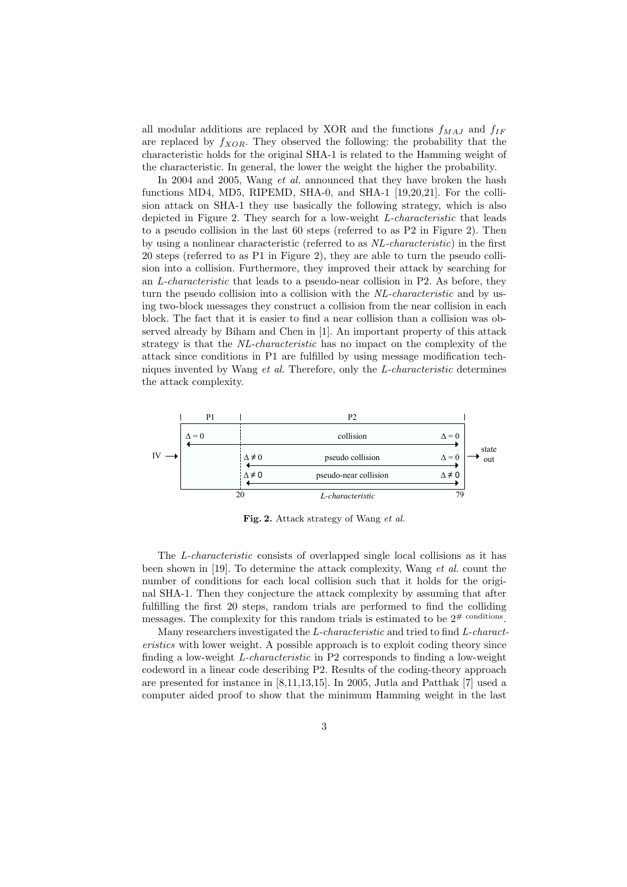all modular additions are replaced by XOR and the functions  $f_{MAJ}$  and  $f_{IF}$ are replaced by  $f_{XOR}$ . They observed the following: the probability that the characteristic holds for the original SHA-1 is related to the Hamming weight of the characteristic. In general, the lower the weight the higher the probability.

In 2004 and 2005, Wang *et al.* announced that they have broken the hash functions MD4, MD5, RIPEMD, SHA-0, and SHA-1 [19,20,21]. For the collision attack on SHA-1 they use basically the following strategy, which is also depicted in Figure 2. They search for a low-weight L-characteristic that leads to a pseudo collision in the last 60 steps (referred to as P2 in Figure 2). Then by using a nonlinear characteristic (referred to as NL-characteristic) in the first 20 steps (referred to as P1 in Figure 2), they are able to turn the pseudo collision into a collision. Furthermore, they improved their attack by searching for an L-characteristic that leads to a pseudo-near collision in P2. As before, they turn the pseudo collision into a collision with the NL-characteristic and by using two-block messages they construct a collision from the near collision in each block. The fact that it is easier to find a near collision than a collision was observed already by Biham and Chen in [1]. An important property of this attack strategy is that the NL-characteristic has no impact on the complexity of the attack since conditions in P1 are fulfilled by using message modification techniques invented by Wang et al. Therefore, only the L-characteristic determines the attack complexity.



Fig. 2. Attack strategy of Wang et al.

The L-characteristic consists of overlapped single local collisions as it has been shown in [19]. To determine the attack complexity, Wang et al. count the number of conditions for each local collision such that it holds for the original SHA-1. Then they conjecture the attack complexity by assuming that after fulfilling the first 20 steps, random trials are performed to find the colliding messages. The complexity for this random trials is estimated to be  $2^{\#}$  conditions.

Many researchers investigated the L-characteristic and tried to find L-characteristics with lower weight. A possible approach is to exploit coding theory since finding a low-weight L-characteristic in P2 corresponds to finding a low-weight codeword in a linear code describing P2. Results of the coding-theory approach are presented for instance in [8,11,13,15]. In 2005, Jutla and Patthak [7] used a computer aided proof to show that the minimum Hamming weight in the last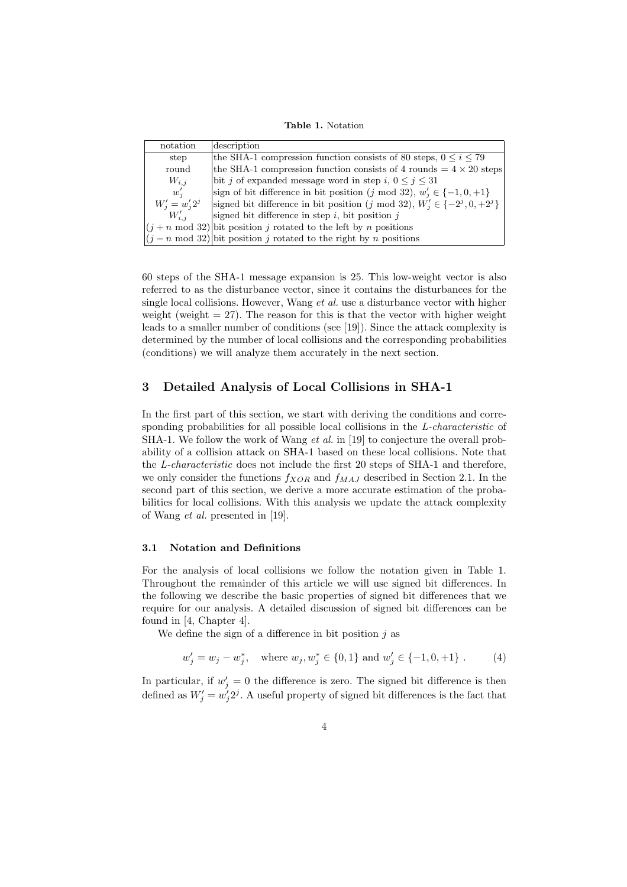Table 1. Notation

| notation                | description                                                                    |
|-------------------------|--------------------------------------------------------------------------------|
| step                    | the SHA-1 compression function consists of 80 steps, $0 \le i \le 79$          |
| round                   | the SHA-1 compression function consists of 4 rounds $= 4 \times 20$ steps      |
| $W_{i,i}$               | bit j of expanded message word in step i, $0 \le j \le 31$                     |
| $w_i'$                  | sign of bit difference in bit position (j mod 32), $w'_i \in \{-1, 0, +1\}$    |
| $W'_{i} = w'_{i} 2^{j}$ | signed bit difference in bit position (j mod 32), $W'_i \in \{-2^j, 0, +2^j\}$ |
| $W'_{i,i}$              | signed bit difference in step $i$ , bit position $j$                           |
|                         | $ (j+n \mod 32) $ bit position j rotated to the left by n positions            |
|                         | $ (j - n \mod 32) $ bit position j rotated to the right by n positions         |

60 steps of the SHA-1 message expansion is 25. This low-weight vector is also referred to as the disturbance vector, since it contains the disturbances for the single local collisions. However, Wang et al. use a disturbance vector with higher weight (weight  $= 27$ ). The reason for this is that the vector with higher weight leads to a smaller number of conditions (see [19]). Since the attack complexity is determined by the number of local collisions and the corresponding probabilities (conditions) we will analyze them accurately in the next section.

## 3 Detailed Analysis of Local Collisions in SHA-1

In the first part of this section, we start with deriving the conditions and corresponding probabilities for all possible local collisions in the *L-characteristic* of SHA-1. We follow the work of Wang *et al.* in [19] to conjecture the overall probability of a collision attack on SHA-1 based on these local collisions. Note that the L-characteristic does not include the first 20 steps of SHA-1 and therefore, we only consider the functions  $f_{XOR}$  and  $f_{MAJ}$  described in Section 2.1. In the second part of this section, we derive a more accurate estimation of the probabilities for local collisions. With this analysis we update the attack complexity of Wang et al. presented in [19].

## 3.1 Notation and Definitions

For the analysis of local collisions we follow the notation given in Table 1. Throughout the remainder of this article we will use signed bit differences. In the following we describe the basic properties of signed bit differences that we require for our analysis. A detailed discussion of signed bit differences can be found in [4, Chapter 4].

We define the sign of a difference in bit position  $j$  as

$$
w'_j = w_j - w_j^*
$$
, where  $w_j, w_j^* \in \{0, 1\}$  and  $w'_j \in \{-1, 0, +1\}$ . (4)

In particular, if  $w_j' = 0$  the difference is zero. The signed bit difference is then defined as  $W'_j = w'_j 2^j$ . A useful property of signed bit differences is the fact that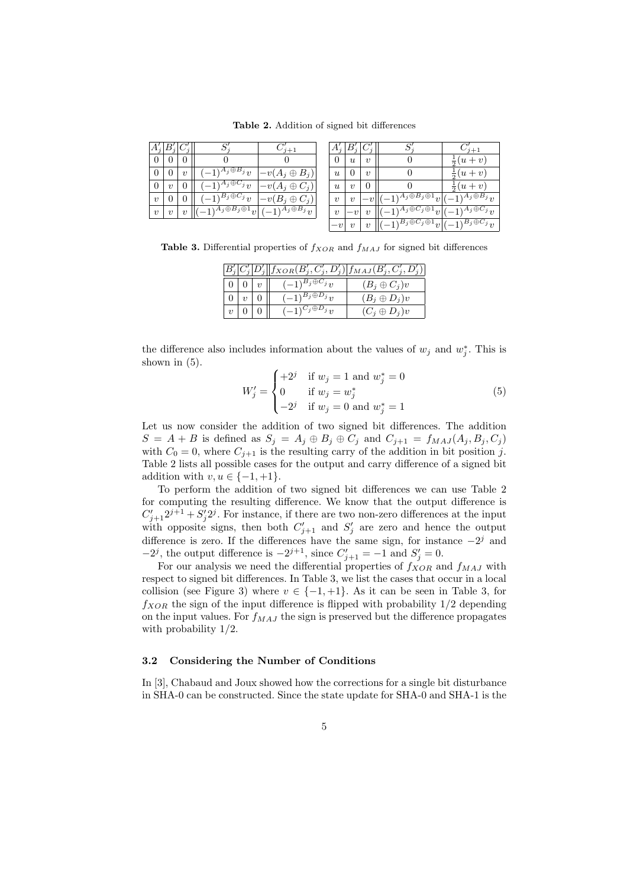Table 2. Addition of signed bit differences

|                     |                         |                  |                                             | $7 + 1$                  |                           |                         |                     |                                                                                                                      | $7+1$                                           |
|---------------------|-------------------------|------------------|---------------------------------------------|--------------------------|---------------------------|-------------------------|---------------------|----------------------------------------------------------------------------------------------------------------------|-------------------------------------------------|
| $\theta$            |                         | $\theta$         |                                             |                          | $\theta$                  | $\boldsymbol{u}$        | $\boldsymbol{\eta}$ |                                                                                                                      | $ u + v $<br>$\overline{a}$                     |
| $\overline{0}$      |                         | $\boldsymbol{v}$ | $-1$ <sup><math>A_j \oplus B_j</math></sup> | $-v(A_j\oplus B_j)_i$    | $\boldsymbol{\mathit{u}}$ |                         | $\boldsymbol{\eta}$ |                                                                                                                      | $(u+v)$<br>흫                                    |
| $\overline{0}$      | $\overline{\mathbf{v}}$ | $\overline{0}$   | $(-1)^{A_j \oplus C_j} v$                   | $v-y(A_j \oplus C_i)$    | $\boldsymbol{u}$          | $\overline{\mathbf{v}}$ |                     |                                                                                                                      | $(u + v)$                                       |
| $\boldsymbol{\eta}$ |                         |                  | $(-1)^{B_j \oplus C_j}v$                    | $v-y(B_j\oplus C_j)$     | $\boldsymbol{v}$          | $\boldsymbol{v}$        |                     | $\sqrt{A_j \oplus B_j} \oplus 1_{\left  \mathcal{V} \right }$                                                        | $(-1)^{A_j \oplus \overline{B_j}} \overline{v}$ |
| $\boldsymbol{v}$    | $\boldsymbol{\eta}$     | $\boldsymbol{v}$ | $-\overline{1)^{A_j\oplus B_j\oplus 1}v }$  | $(-1)^{A_j \oplus B_j}v$ | $\boldsymbol{v}$          | $-v$                    | $\boldsymbol{v}$    | $\overline{-1}$ <sup>A<sub>j</sub><math>\oplus</math>C<sub>j</sub><math>\oplus</math><sup>1</sup><sub>V</sub> </sup> | $(-1)^{A_j \oplus C_j}$                         |
|                     |                         |                  |                                             |                          | $-v$                      |                         | $\upsilon$          | $(-1)^{B_j \oplus C_j \oplus 1} v \vert (-1)^{B_j \oplus C_j} v$                                                     |                                                 |

Table 3. Differential properties of  $f_{XOR}$  and  $f_{MAJ}$  for signed bit differences

| $ B'_j C'_j D'_j  f_{XOR}(B'_j, C'_j, D'_j) f_{MAJ}(B'_j, C'_j, D'_j) $ |  |  |                          |                     |  |  |  |  |  |
|-------------------------------------------------------------------------|--|--|--------------------------|---------------------|--|--|--|--|--|
|                                                                         |  |  | $(-1)^{B_j \oplus C_j}v$ | $(B_j \oplus C_j)v$ |  |  |  |  |  |
|                                                                         |  |  | $(-1)^{B_j \oplus D_j}v$ | $(B_i \oplus D_i)v$ |  |  |  |  |  |
|                                                                         |  |  | $(-1)^{C_j \oplus D_j}v$ | $(C_i \oplus D_i)v$ |  |  |  |  |  |

the difference also includes information about the values of  $w_j$  and  $w_j^*$ . This is shown in  $(5)$ .  $\overline{\phantom{a}}$ 

$$
W'_{j} = \begin{cases} +2^{j} & \text{if } w_{j} = 1 \text{ and } w_{j}^{*} = 0\\ 0 & \text{if } w_{j} = w_{j}^{*}\\ -2^{j} & \text{if } w_{j} = 0 \text{ and } w_{j}^{*} = 1 \end{cases}
$$
(5)

Let us now consider the addition of two signed bit differences. The addition  $S = A + B$  is defined as  $S_j = A_j \oplus B_j \oplus C_j$  and  $C_{j+1} = f_{MAJ}(A_j, B_j, C_j)$ with  $C_0 = 0$ , where  $C_{j+1}$  is the resulting carry of the addition in bit position j. Table 2 lists all possible cases for the output and carry difference of a signed bit addition with  $v, u \in \{-1, +1\}.$ 

To perform the addition of two signed bit differences we can use Table 2 for computing the resulting difference. We know that the output difference is  $C'_{j+1}2^{j+1} + S'_{j}2^{j}$ . For instance, if there are two non-zero differences at the input with opposite signs, then both  $C'_{j+1}$  and  $S'_{j}$  are zero and hence the output difference is zero. If the differences have the same sign, for instance  $-2<sup>j</sup>$  and  $-2^j$ , the output difference is  $-2^{j+1}$ , since  $C'_{j+1} = -1$  and  $S'_{j} = 0$ .

For our analysis we need the differential properties of  $f_{XOR}$  and  $f_{MAJ}$  with respect to signed bit differences. In Table 3, we list the cases that occur in a local collision (see Figure 3) where  $v \in \{-1, +1\}$ . As it can be seen in Table 3, for  $f_{XOR}$  the sign of the input difference is flipped with probability  $1/2$  depending on the input values. For  $f_{MAJ}$  the sign is preserved but the difference propagates with probability 1/2.

#### 3.2 Considering the Number of Conditions

In [3], Chabaud and Joux showed how the corrections for a single bit disturbance in SHA-0 can be constructed. Since the state update for SHA-0 and SHA-1 is the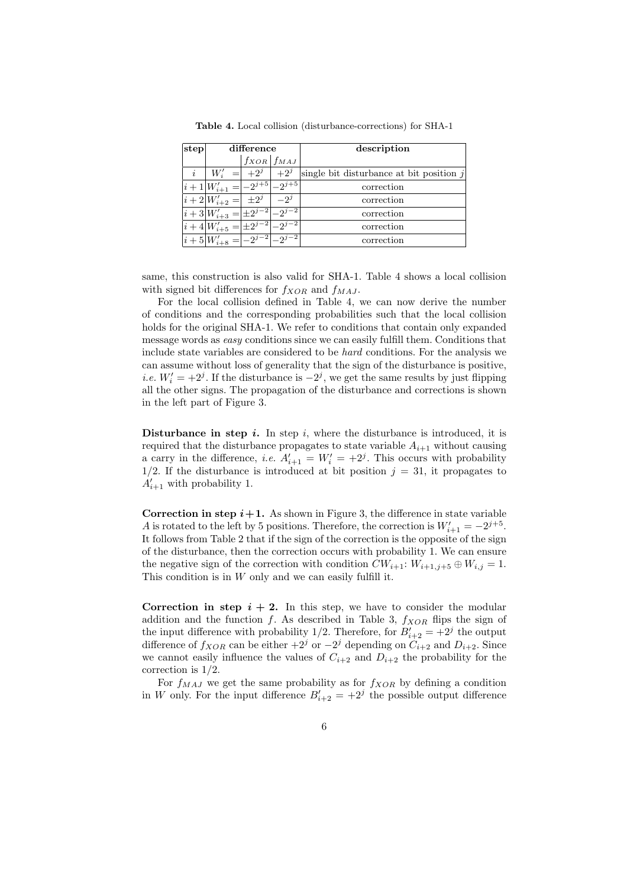| step |                                                 | difference          |            | description                                |
|------|-------------------------------------------------|---------------------|------------|--------------------------------------------|
|      |                                                 | $f_{XOR}$ $f_{MAJ}$ |            |                                            |
| i    | $W_i'$                                          | $+2^j$              | $+2^j$     | single bit disturbance at bit position $i$ |
|      | $ i+1 W'_{i+1} =$                               | $-2^{j+5}$ .        | $-2^{j+5}$ | correction                                 |
|      | $ i+2 W'_{i+2} = $                              | $+2^j$              | $-2^j$     | correction                                 |
|      | $ i+3 W'_{i+3} = \boxed{\pm 2^{j-2}} - 2^{j-2}$ |                     |            | correction                                 |
|      | $ i+4 W'_{i+5} = \pm 2^{j-2} - 2^{j-2}$         |                     |            | correction                                 |
|      | $ i+5 W'_{i+8} =  -2^{j-2} $ $\boxed{-2^{j-2}}$ |                     |            | correction                                 |

Table 4. Local collision (disturbance-corrections) for SHA-1

same, this construction is also valid for SHA-1. Table 4 shows a local collision with signed bit differences for  $f_{XOR}$  and  $f_{MAJ}$ .

For the local collision defined in Table 4, we can now derive the number of conditions and the corresponding probabilities such that the local collision holds for the original SHA-1. We refer to conditions that contain only expanded message words as easy conditions since we can easily fulfill them. Conditions that include state variables are considered to be hard conditions. For the analysis we can assume without loss of generality that the sign of the disturbance is positive, *i.e.*  $W'_i = +2^j$ . If the disturbance is  $-2^j$ , we get the same results by just flipping all the other signs. The propagation of the disturbance and corrections is shown in the left part of Figure 3.

**Disturbance in step i.** In step i, where the disturbance is introduced, it is required that the disturbance propagates to state variable  $A_{i+1}$  without causing a carry in the difference, *i.e.*  $A'_{i+1} = W'_i = +2^j$ . This occurs with probability  $1/2$ . If the disturbance is introduced at bit position  $j = 31$ , it propagates to  $A'_{i+1}$  with probability 1.

Correction in step  $i+1$ . As shown in Figure 3, the difference in state variable A is rotated to the left by 5 positions. Therefore, the correction is  $W'_{i+1} = -2^{j+5}$ . It follows from Table 2 that if the sign of the correction is the opposite of the sign of the disturbance, then the correction occurs with probability 1. We can ensure the negative sign of the correction with condition  $CW_{i+1}: W_{i+1,j+5} \oplus W_{i,j} = 1$ . This condition is in  $W$  only and we can easily fulfill it.

Correction in step  $i + 2$ . In this step, we have to consider the modular addition and the function f. As described in Table 3,  $f_{XOR}$  flips the sign of the input difference with probability 1/2. Therefore, for  $B'_{i+2} = +2^j$  the output difference of  $f_{XOR}$  can be either  $+2^j$  or  $-2^j$  depending on  $C_{i+2}$  and  $D_{i+2}$ . Since we cannot easily influence the values of  $C_{i+2}$  and  $D_{i+2}$  the probability for the correction is 1/2.

For  $f_{MAJ}$  we get the same probability as for  $f_{XOR}$  by defining a condition in W only. For the input difference  $B'_{i+2} = +2^j$  the possible output difference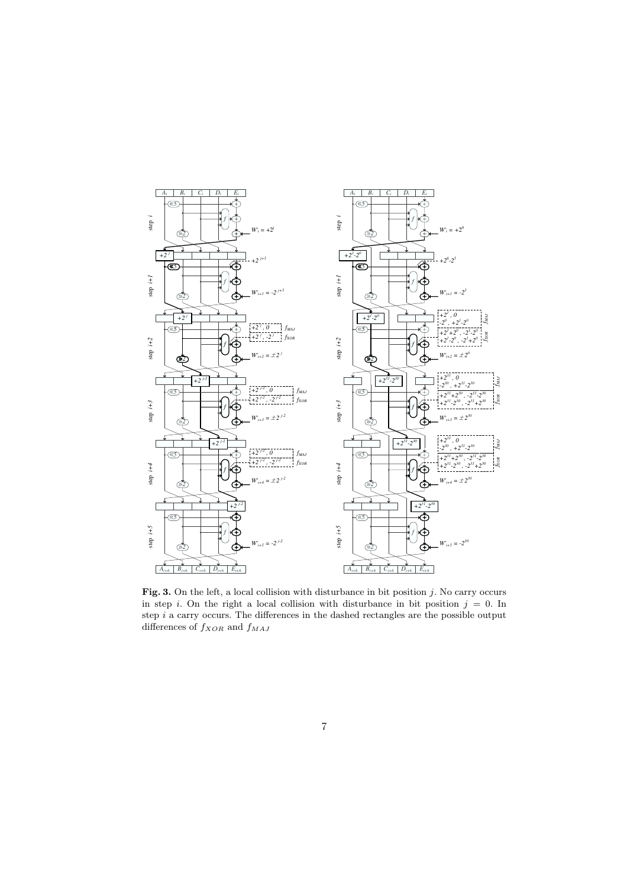

Fig. 3. On the left, a local collision with disturbance in bit position  $j$ . No carry occurs in step i. On the right a local collision with disturbance in bit position  $j = 0$ . In step  $i$  a carry occurs. The differences in the dashed rectangles are the possible output differences of  $f_{XOR}$  and  $f_{MAJ}$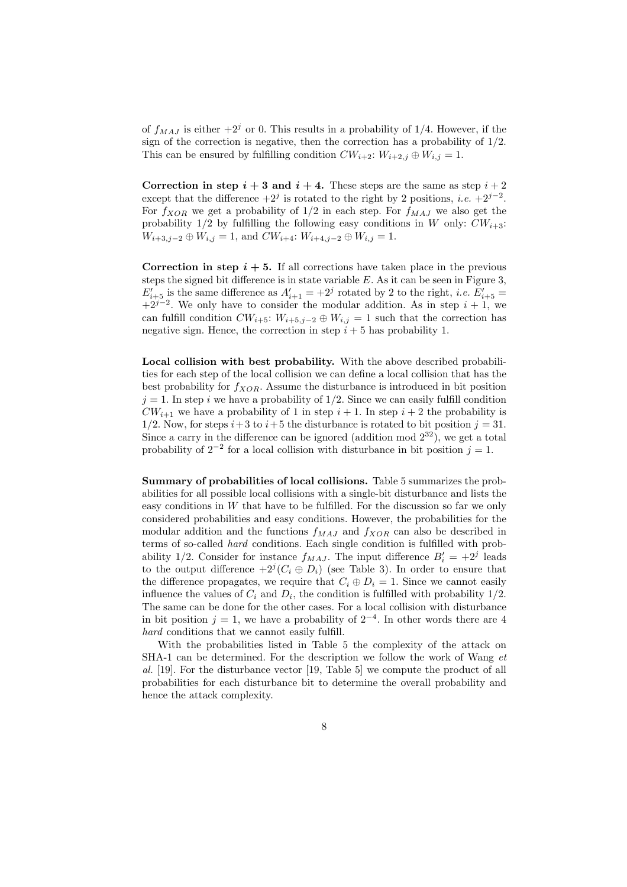of  $f_{MAJ}$  is either  $+2<sup>j</sup>$  or 0. This results in a probability of 1/4. However, if the sign of the correction is negative, then the correction has a probability of  $1/2$ . This can be ensured by fulfilling condition  $CW_{i+2}: W_{i+2,j} \oplus W_{i,j} = 1$ .

Correction in step  $i + 3$  and  $i + 4$ . These steps are the same as step  $i + 2$ except that the difference  $+2^j$  is rotated to the right by 2 positions, *i.e.*  $+2^{j-2}$ . For  $f_{XOR}$  we get a probability of  $1/2$  in each step. For  $f_{MAJ}$  we also get the probability  $1/2$  by fulfilling the following easy conditions in W only:  $CW_{i+3}$ :  $W_{i+3,j-2} \oplus W_{i,j} = 1$ , and  $CW_{i+4}: W_{i+4,j-2} \oplus W_{i,j} = 1$ .

Correction in step  $i + 5$ . If all corrections have taken place in the previous steps the signed bit difference is in state variable  $E$ . As it can be seen in Figure 3,  $E'_{i+5}$  is the same difference as  $A'_{i+1} = +2^j$  rotated by 2 to the right, *i.e.*  $E'_{i+5} =$  $+2^{j-2}$ . We only have to consider the modular addition. As in step  $i + 1$ , we can fulfill condition  $CW_{i+5}: W_{i+5,j-2} \oplus W_{i,j} = 1$  such that the correction has negative sign. Hence, the correction in step  $i + 5$  has probability 1.

Local collision with best probability. With the above described probabilities for each step of the local collision we can define a local collision that has the best probability for  $f_{XOR}$ . Assume the disturbance is introduced in bit position  $j = 1$ . In step i we have a probability of  $1/2$ . Since we can easily fulfill condition  $CW_{i+1}$  we have a probability of 1 in step  $i+1$ . In step  $i+2$  the probability is 1/2. Now, for steps  $i+3$  to  $i+5$  the disturbance is rotated to bit position  $j = 31$ . Since a carry in the difference can be ignored (addition mod  $2^{32}$ ), we get a total probability of  $2^{-2}$  for a local collision with disturbance in bit position  $j = 1$ .

Summary of probabilities of local collisions. Table 5 summarizes the probabilities for all possible local collisions with a single-bit disturbance and lists the easy conditions in  $W$  that have to be fulfilled. For the discussion so far we only considered probabilities and easy conditions. However, the probabilities for the modular addition and the functions  $f_{MAJ}$  and  $f_{XOR}$  can also be described in terms of so-called hard conditions. Each single condition is fulfilled with probability 1/2. Consider for instance  $f_{MAJ}$ . The input difference  $B_i' = +2^j$  leads to the output difference  $+2^{j}(C_i \oplus D_i)$  (see Table 3). In order to ensure that the difference propagates, we require that  $C_i \oplus D_i = 1$ . Since we cannot easily influence the values of  $C_i$  and  $D_i$ , the condition is fulfilled with probability  $1/2$ . The same can be done for the other cases. For a local collision with disturbance in bit position  $j = 1$ , we have a probability of  $2^{-4}$ . In other words there are 4 hard conditions that we cannot easily fulfill.

With the probabilities listed in Table 5 the complexity of the attack on SHA-1 can be determined. For the description we follow the work of Wang et al. [19]. For the disturbance vector [19, Table 5] we compute the product of all probabilities for each disturbance bit to determine the overall probability and hence the attack complexity.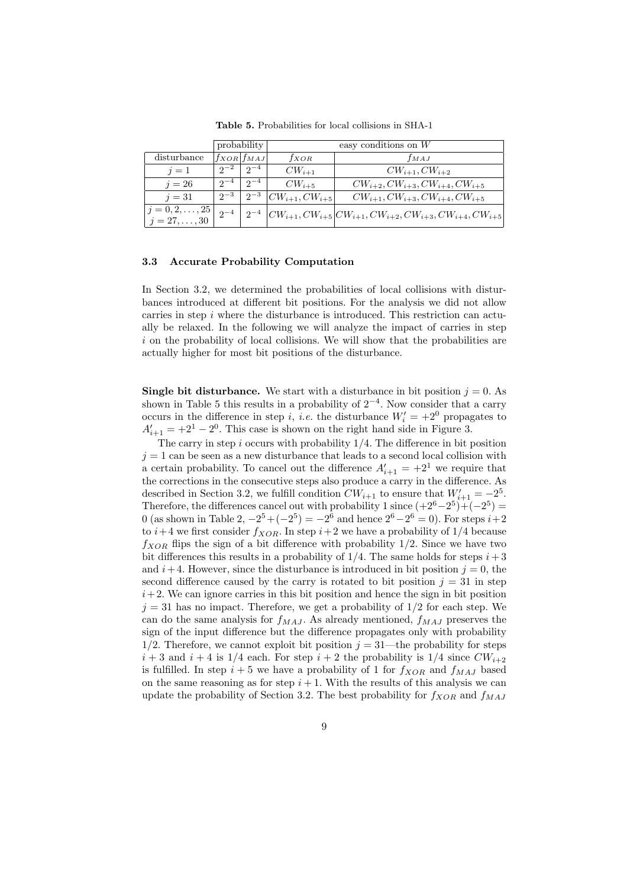|                                                                                     |                    | probability         |                                        | easy conditions on $W$                                                            |  |  |
|-------------------------------------------------------------------------------------|--------------------|---------------------|----------------------------------------|-----------------------------------------------------------------------------------|--|--|
| disturbance                                                                         | $f_{XOR} f_{MAJ} $ |                     | $f_{XOR}$                              | $f_{MAJ}$                                                                         |  |  |
| $i=1$                                                                               |                    | $2^{-2}$   $2^{-4}$ | $CW_{i+1}$                             | $CW_{i+1}, CW_{i+2}$                                                              |  |  |
| $i=26$                                                                              | $2^{-4}$           | $2^{\sim}$          | $CW_{i+5}$                             | $CW_{i+2}, CW_{i+3}, CW_{i+4}, CW_{i+5}$                                          |  |  |
| $i=31$                                                                              | $2^{-3}$           |                     | $\sqrt{2}^{-3}$ $ CW_{i+1}, CW_{i+5} $ | $CW_{i+1}, CW_{i+3}, CW_{i+4}, CW_{i+5}$                                          |  |  |
| $\begin{vmatrix} j = 0, 2, \ldots, 25 \\ j = 27, \ldots, 30 \end{vmatrix}$ $2^{-4}$ |                    |                     |                                        | $2^{-4}$ $ CW_{i+1}, CW_{i+5}  CW_{i+1}, CW_{i+2}, CW_{i+3}, CW_{i+4}, CW_{i+5} $ |  |  |

Table 5. Probabilities for local collisions in SHA-1

#### 3.3 Accurate Probability Computation

In Section 3.2, we determined the probabilities of local collisions with disturbances introduced at different bit positions. For the analysis we did not allow carries in step  $i$  where the disturbance is introduced. This restriction can actually be relaxed. In the following we will analyze the impact of carries in step  $i$  on the probability of local collisions. We will show that the probabilities are actually higher for most bit positions of the disturbance.

**Single bit disturbance.** We start with a disturbance in bit position  $j = 0$ . As shown in Table 5 this results in a probability of  $2^{-4}$ . Now consider that a carry occurs in the difference in step *i*, *i.e.* the disturbance  $W'_i = +2^0$  propagates to  $A'_{i+1} = +2^1 - 2^0$ . This case is shown on the right hand side in Figure 3.

The carry in step  $i$  occurs with probability  $1/4$ . The difference in bit position  $j = 1$  can be seen as a new disturbance that leads to a second local collision with a certain probability. To cancel out the difference  $A'_{i+1} = +2^1$  we require that the corrections in the consecutive steps also produce a carry in the difference. As described in Section 3.2, we fulfill condition  $CW_{i+1}$  to ensure that  $W'_{i+1} = -2^5$ . Therefore, the differences cancel out with probability 1 since  $(+2^6-2^5)+(-2^5)$ 0 (as shown in Table 2,  $-2^5 + (-2^5) = -2^6$  and hence  $2^6 - 2^6 = 0$ ). For steps  $i+2$ to  $i+4$  we first consider  $f_{XOR}$ . In step  $i+2$  we have a probability of 1/4 because  $f_{XOR}$  flips the sign of a bit difference with probability 1/2. Since we have two bit differences this results in a probability of  $1/4$ . The same holds for steps  $i+3$ and  $i+4$ . However, since the disturbance is introduced in bit position  $j=0$ , the second difference caused by the carry is rotated to bit position  $j = 31$  in step  $i+2$ . We can ignore carries in this bit position and hence the sign in bit position  $j = 31$  has no impact. Therefore, we get a probability of  $1/2$  for each step. We can do the same analysis for  $f_{MAJ}$ . As already mentioned,  $f_{MAJ}$  preserves the sign of the input difference but the difference propagates only with probability 1/2. Therefore, we cannot exploit bit position  $j = 31$ —the probability for steps  $i+3$  and  $i+4$  is  $1/4$  each. For step  $i+2$  the probability is  $1/4$  since  $CW_{i+2}$ is fulfilled. In step  $i + 5$  we have a probability of 1 for  $f_{XOR}$  and  $f_{MAJ}$  based on the same reasoning as for step  $i + 1$ . With the results of this analysis we can update the probability of Section 3.2. The best probability for  $f_{XOR}$  and  $f_{MAJ}$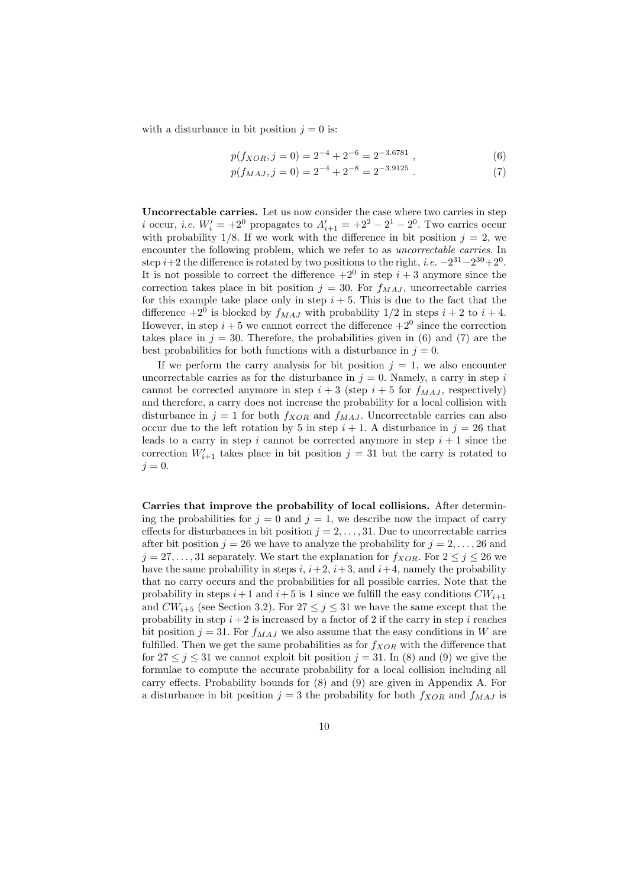with a disturbance in bit position  $j = 0$  is:

$$
p(f_{XOR}, j = 0) = 2^{-4} + 2^{-6} = 2^{-3.6781} , \t\t(6)
$$

$$
p(f_{MAJ}, j = 0) = 2^{-4} + 2^{-8} = 2^{-3.9125} . \tag{7}
$$

Uncorrectable carries. Let us now consider the case where two carries in step *i* occur, *i.e.*  $W'_i = +2^0$  propagates to  $A'_{i+1} = +2^2 - 2^1 - 2^0$ . Two carries occur with probability 1/8. If we work with the difference in bit position  $j = 2$ , we encounter the following problem, which we refer to as uncorrectable carries. In step  $i+2$  the difference is rotated by two positions to the right, i.e.  $-2^{31}-2^{30}+2^0$ . It is not possible to correct the difference  $+2^0$  in step  $i + 3$  anymore since the correction takes place in bit position  $j = 30$ . For  $f_{MAJ}$ , uncorrectable carries for this example take place only in step  $i + 5$ . This is due to the fact that the difference  $+2^0$  is blocked by  $f_{MAJ}$  with probability  $1/2$  in steps  $i + 2$  to  $i + 4$ . However, in step  $i + 5$  we cannot correct the difference  $+2^0$  since the correction takes place in  $j = 30$ . Therefore, the probabilities given in (6) and (7) are the best probabilities for both functions with a disturbance in  $j = 0$ .

If we perform the carry analysis for bit position  $j = 1$ , we also encounter uncorrectable carries as for the disturbance in  $j = 0$ . Namely, a carry in step i cannot be corrected anymore in step  $i + 3$  (step  $i + 5$  for  $f_{MAJ}$ , respectively) and therefore, a carry does not increase the probability for a local collision with disturbance in  $j = 1$  for both  $f_{XOR}$  and  $f_{MAJ}$ . Uncorrectable carries can also occur due to the left rotation by 5 in step  $i + 1$ . A disturbance in  $j = 26$  that leads to a carry in step i cannot be corrected anymore in step  $i + 1$  since the correction  $W'_{i+1}$  takes place in bit position  $j = 31$  but the carry is rotated to  $j = 0$ .

Carries that improve the probability of local collisions. After determining the probabilities for  $j = 0$  and  $j = 1$ , we describe now the impact of carry effects for disturbances in bit position  $j = 2, \ldots, 31$ . Due to uncorrectable carries after bit position  $j = 26$  we have to analyze the probability for  $j = 2, \ldots, 26$  and  $j = 27, \ldots, 31$  separately. We start the explanation for  $f_{XOR}$ . For  $2 \leq j \leq 26$  we have the same probability in steps  $i, i+2, i+3$ , and  $i+4$ , namely the probability that no carry occurs and the probabilities for all possible carries. Note that the probability in steps  $i+1$  and  $i+5$  is 1 since we fulfill the easy conditions  $CW_{i+1}$ and  $CW_{i+5}$  (see Section 3.2). For  $27 \leq j \leq 31$  we have the same except that the probability in step  $i+2$  is increased by a factor of 2 if the carry in step i reaches bit position  $j = 31$ . For  $f_{MAJ}$  we also assume that the easy conditions in W are fulfilled. Then we get the same probabilities as for  $f_{XOR}$  with the difference that for  $27 \leq j \leq 31$  we cannot exploit bit position  $j = 31$ . In (8) and (9) we give the formulae to compute the accurate probability for a local collision including all carry effects. Probability bounds for (8) and (9) are given in Appendix A. For a disturbance in bit position  $j = 3$  the probability for both  $f_{XOR}$  and  $f_{MAJ}$  is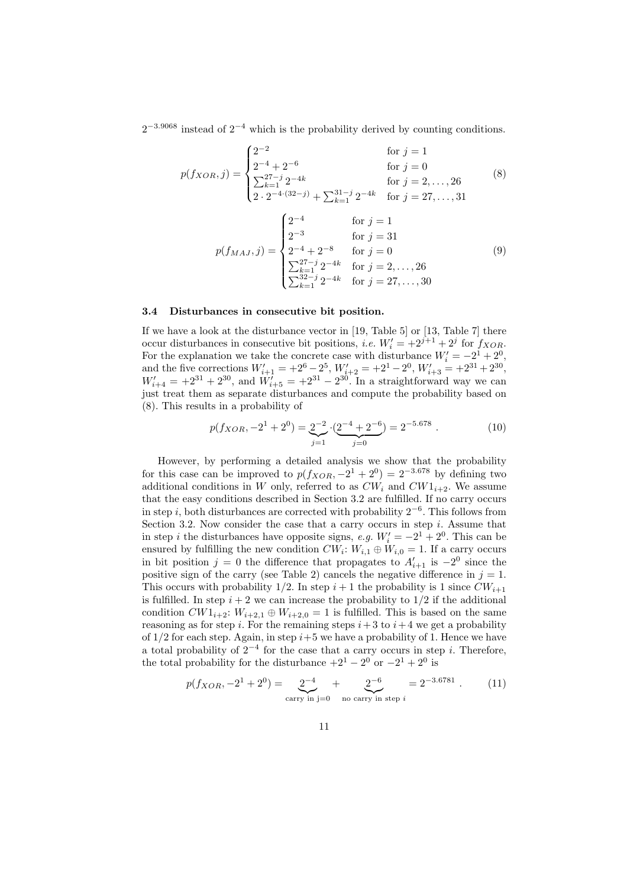$2^{-3.9068}$  instead of  $2^{-4}$  which is the probability derived by counting conditions.

$$
p(f_{XOR}, j) = \begin{cases} 2^{-2} & \text{for } j = 1\\ 2^{-4} + 2^{-6} & \text{for } j = 0\\ \sum_{k=1}^{27-j} 2^{-4k} & \text{for } j = 2, ..., 26\\ 2 \cdot 2^{-4 \cdot (32-j)} + \sum_{k=1}^{31-j} 2^{-4k} & \text{for } j = 27, ..., 31 \end{cases}
$$
(8)

$$
p(f_{MAJ}, j) = \begin{cases} 2^{-4} & \text{for } j = 1\\ 2^{-3} & \text{for } j = 31\\ 2^{-4} + 2^{-8} & \text{for } j = 0\\ \sum_{k=1}^{27-j} 2^{-4k} & \text{for } j = 2, ..., 26\\ \sum_{k=1}^{32-j} 2^{-4k} & \text{for } j = 27, ..., 30 \end{cases}
$$
(9)

### 3.4 Disturbances in consecutive bit position.

If we have a look at the disturbance vector in [19, Table 5] or [13, Table 7] there occur disturbances in consecutive bit positions, *i.e.*  $W_i' = +2^{j+1} + 2^j$  for  $f_{XOR}$ . For the explanation we take the concrete case with disturbance  $W_i' = -2^1 + 2^0$ , and the five corrections  $W'_{i+1} = +2^6 - 2^5$ ,  $W'_{i+2} = +2^1 - 2^0$ ,  $W'_{i+3} = +2^{31} + 2^{30}$ ,  $W'_{i+4} = +2^{31} + 2^{30}$ , and  $W'_{i+5} = +2^{31} - 2^{30}$ . In a straightforward way we can just treat them as separate disturbances and compute the probability based on (8). This results in a probability of

$$
p(f_{XOR}, -2^1 + 2^0) = \underbrace{2^{-2}}_{j=1} \cdot \underbrace{(2^{-4} + 2^{-6})}_{j=0} = 2^{-5.678} . \tag{10}
$$

However, by performing a detailed analysis we show that the probability for this case can be improved to  $p(f_{XOR}, -2^1 + 2^0) = 2^{-3.678}$  by defining two additional conditions in W only, referred to as  $CW_i$  and  $CW1_{i+2}$ . We assume that the easy conditions described in Section 3.2 are fulfilled. If no carry occurs in step i, both disturbances are corrected with probability  $2^{-6}$ . This follows from Section 3.2. Now consider the case that a carry occurs in step  $i$ . Assume that in step *i* the disturbances have opposite signs, e.g.  $W_i' = -2^1 + 2^0$ . This can be ensured by fulfilling the new condition  $CW_i$ :  $W_{i,1} \oplus W_{i,0} = 1$ . If a carry occurs in bit position  $j = 0$  the difference that propagates to  $A'_{i+1}$  is  $-2^0$  since the positive sign of the carry (see Table 2) cancels the negative difference in  $j = 1$ . This occurs with probability 1/2. In step  $i+1$  the probability is 1 since  $CW_{i+1}$ is fulfilled. In step  $i + 2$  we can increase the probability to  $1/2$  if the additional condition  $CW1_{i+2}$ :  $W_{i+2,1} \oplus W_{i+2,0} = 1$  is fulfilled. This is based on the same reasoning as for step i. For the remaining steps  $i+3$  to  $i+4$  we get a probability of  $1/2$  for each step. Again, in step  $i+5$  we have a probability of 1. Hence we have a total probability of  $2^{-4}$  for the case that a carry occurs in step *i*. Therefore, the total probability for the disturbance  $+2^1 - 2^0$  or  $-2^1 + 2^0$  is

$$
p(f_{XOR}, -2^{1} + 2^{0}) = \underbrace{2^{-4}}_{\text{carry in j=0}} + \underbrace{2^{-6}}_{\text{no carry in step } i} = 2^{-3.6781} . \tag{11}
$$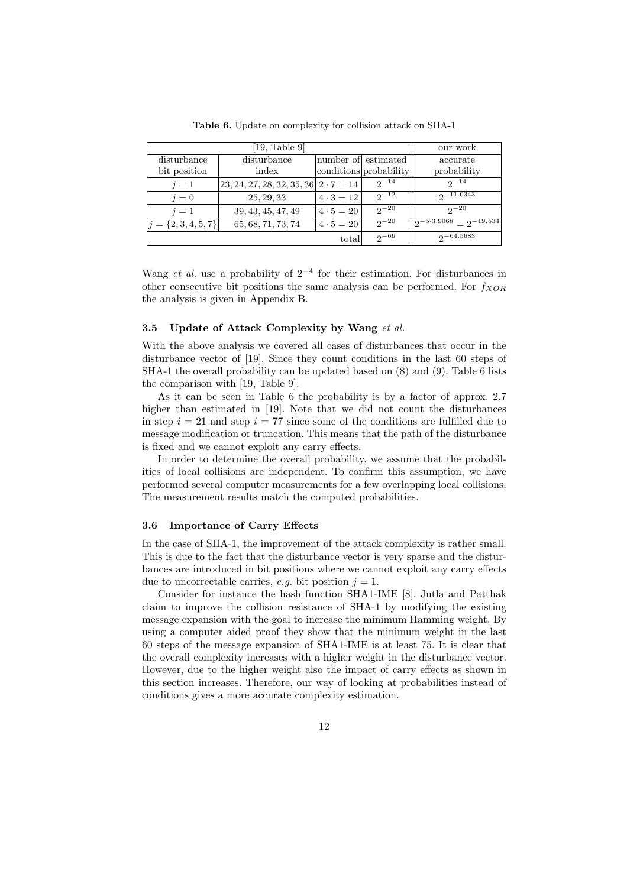|                         | our work                                        |                  |                        |                                                                 |
|-------------------------|-------------------------------------------------|------------------|------------------------|-----------------------------------------------------------------|
| disturbance             | disturbance                                     |                  | number of estimated    | accurate                                                        |
| bit position            | index                                           |                  | conditions probability | probability                                                     |
| $i=1$                   | $ 23, 24, 27, 28, 32, 35, 36 $ $2 \cdot 7 = 14$ |                  | $2^{-14}$              | $2^{-14}$                                                       |
| $i=0$                   | 25, 29, 33                                      | $4 \cdot 3 = 12$ | $2^{-12}$              | $2^{-11.0343}$                                                  |
| $i=1$                   | 39, 43, 45, 47, 49                              | $4 \cdot 5 = 20$ | $2^{-20}$              | $2^{-20}$                                                       |
| $j = \{2, 3, 4, 5, 7\}$ | 65, 68, 71, 73, 74                              | $4 \cdot 5 = 20$ | $2^{-20}$              | $\left\vert \rho\right\vert$ -5.3.9068 $\right\vert$ - 2-19.534 |
|                         |                                                 | total            | $2^{-66}$              | $2 - 64.5683$                                                   |

Table 6. Update on complexity for collision attack on SHA-1

Wang *et al.* use a probability of  $2^{-4}$  for their estimation. For disturbances in other consecutive bit positions the same analysis can be performed. For  $f_{XOR}$ the analysis is given in Appendix B.

#### 3.5 Update of Attack Complexity by Wang et al.

With the above analysis we covered all cases of disturbances that occur in the disturbance vector of [19]. Since they count conditions in the last 60 steps of SHA-1 the overall probability can be updated based on (8) and (9). Table 6 lists the comparison with [19, Table 9].

As it can be seen in Table 6 the probability is by a factor of approx. 2.7 higher than estimated in [19]. Note that we did not count the disturbances in step  $i = 21$  and step  $i = 77$  since some of the conditions are fulfilled due to message modification or truncation. This means that the path of the disturbance is fixed and we cannot exploit any carry effects.

In order to determine the overall probability, we assume that the probabilities of local collisions are independent. To confirm this assumption, we have performed several computer measurements for a few overlapping local collisions. The measurement results match the computed probabilities.

#### 3.6 Importance of Carry Effects

In the case of SHA-1, the improvement of the attack complexity is rather small. This is due to the fact that the disturbance vector is very sparse and the disturbances are introduced in bit positions where we cannot exploit any carry effects due to uncorrectable carries, e.g. bit position  $j = 1$ .

Consider for instance the hash function SHA1-IME [8]. Jutla and Patthak claim to improve the collision resistance of SHA-1 by modifying the existing message expansion with the goal to increase the minimum Hamming weight. By using a computer aided proof they show that the minimum weight in the last 60 steps of the message expansion of SHA1-IME is at least 75. It is clear that the overall complexity increases with a higher weight in the disturbance vector. However, due to the higher weight also the impact of carry effects as shown in this section increases. Therefore, our way of looking at probabilities instead of conditions gives a more accurate complexity estimation.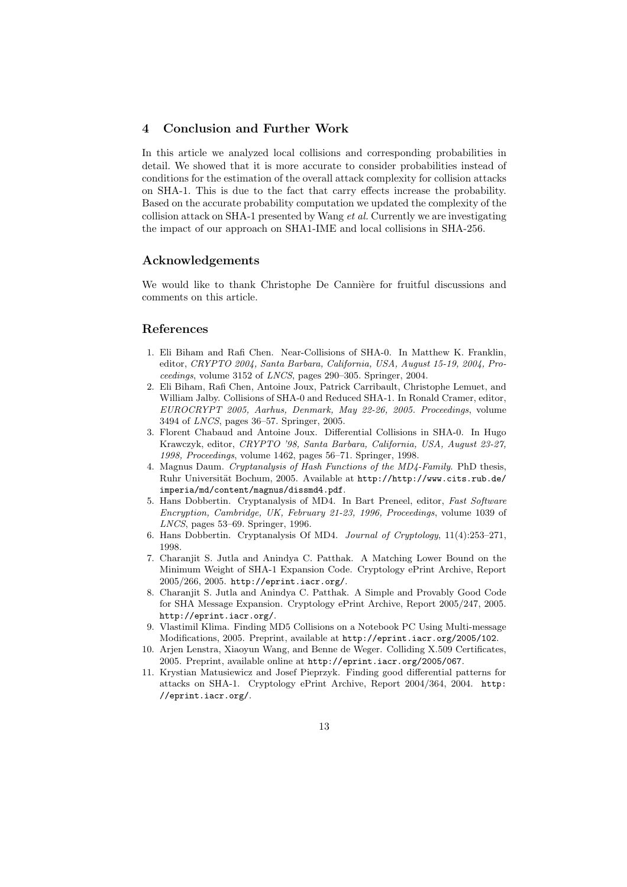# 4 Conclusion and Further Work

In this article we analyzed local collisions and corresponding probabilities in detail. We showed that it is more accurate to consider probabilities instead of conditions for the estimation of the overall attack complexity for collision attacks on SHA-1. This is due to the fact that carry effects increase the probability. Based on the accurate probability computation we updated the complexity of the collision attack on SHA-1 presented by Wang et al. Currently we are investigating the impact of our approach on SHA1-IME and local collisions in SHA-256.

## Acknowledgements

We would like to thank Christophe De Cannière for fruitful discussions and comments on this article.

# References

- 1. Eli Biham and Rafi Chen. Near-Collisions of SHA-0. In Matthew K. Franklin, editor, CRYPTO 2004, Santa Barbara, California, USA, August 15-19, 2004, Proceedings, volume 3152 of LNCS, pages 290–305. Springer, 2004.
- 2. Eli Biham, Rafi Chen, Antoine Joux, Patrick Carribault, Christophe Lemuet, and William Jalby. Collisions of SHA-0 and Reduced SHA-1. In Ronald Cramer, editor, EUROCRYPT 2005, Aarhus, Denmark, May 22-26, 2005. Proceedings, volume 3494 of LNCS, pages 36–57. Springer, 2005.
- 3. Florent Chabaud and Antoine Joux. Differential Collisions in SHA-0. In Hugo Krawczyk, editor, CRYPTO '98, Santa Barbara, California, USA, August 23-27, 1998, Proceedings, volume 1462, pages 56–71. Springer, 1998.
- 4. Magnus Daum. Cryptanalysis of Hash Functions of the MD4-Family. PhD thesis, Ruhr Universität Bochum, 2005. Available at http://http://www.cits.rub.de/ imperia/md/content/magnus/dissmd4.pdf.
- 5. Hans Dobbertin. Cryptanalysis of MD4. In Bart Preneel, editor, Fast Software Encryption, Cambridge, UK, February 21-23, 1996, Proceedings, volume 1039 of LNCS, pages 53–69. Springer, 1996.
- 6. Hans Dobbertin. Cryptanalysis Of MD4. Journal of Cryptology, 11(4):253–271, 1998.
- 7. Charanjit S. Jutla and Anindya C. Patthak. A Matching Lower Bound on the Minimum Weight of SHA-1 Expansion Code. Cryptology ePrint Archive, Report 2005/266, 2005. http://eprint.iacr.org/.
- 8. Charanjit S. Jutla and Anindya C. Patthak. A Simple and Provably Good Code for SHA Message Expansion. Cryptology ePrint Archive, Report 2005/247, 2005. http://eprint.iacr.org/.
- 9. Vlastimil Klima. Finding MD5 Collisions on a Notebook PC Using Multi-message Modifications, 2005. Preprint, available at http://eprint.iacr.org/2005/102.
- 10. Arjen Lenstra, Xiaoyun Wang, and Benne de Weger. Colliding X.509 Certificates, 2005. Preprint, available online at http://eprint.iacr.org/2005/067.
- 11. Krystian Matusiewicz and Josef Pieprzyk. Finding good differential patterns for attacks on SHA-1. Cryptology ePrint Archive, Report 2004/364, 2004. http: //eprint.iacr.org/.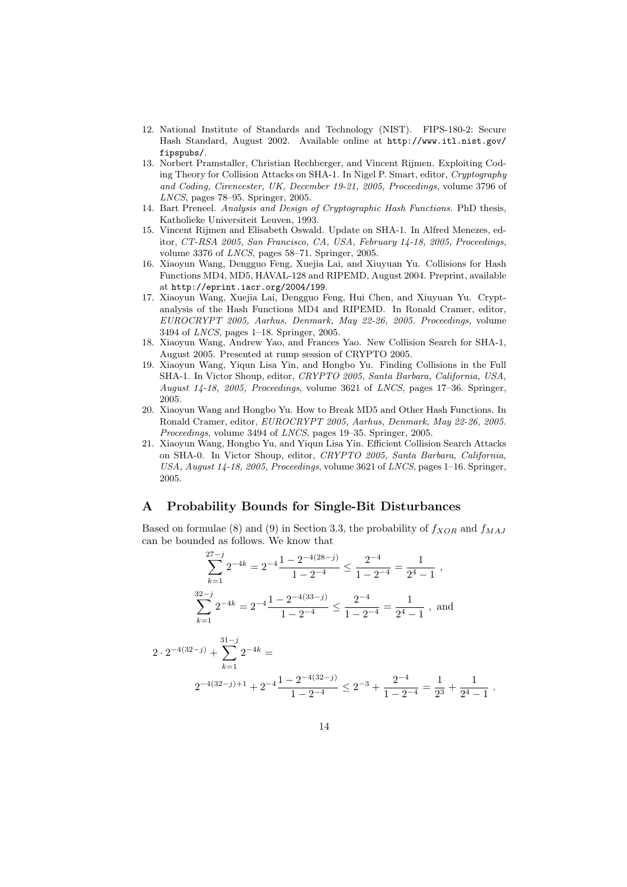- 12. National Institute of Standards and Technology (NIST). FIPS-180-2: Secure Hash Standard, August 2002. Available online at http://www.itl.nist.gov/ fipspubs/.
- 13. Norbert Pramstaller, Christian Rechberger, and Vincent Rijmen. Exploiting Coding Theory for Collision Attacks on SHA-1. In Nigel P. Smart, editor, Cryptography and Coding, Cirencester, UK, December 19-21, 2005, Proceedings, volume 3796 of LNCS, pages 78–95. Springer, 2005.
- 14. Bart Preneel. Analysis and Design of Cryptographic Hash Functions. PhD thesis, Katholieke Universiteit Leuven, 1993.
- 15. Vincent Rijmen and Elisabeth Oswald. Update on SHA-1. In Alfred Menezes, editor, CT-RSA 2005, San Francisco, CA, USA, February 14-18, 2005, Proceedings, volume 3376 of LNCS, pages 58–71. Springer, 2005.
- 16. Xiaoyun Wang, Dengguo Feng, Xuejia Lai, and Xiuyuan Yu. Collisions for Hash Functions MD4, MD5, HAVAL-128 and RIPEMD, August 2004. Preprint, available at http://eprint.iacr.org/2004/199.
- 17. Xiaoyun Wang, Xuejia Lai, Dengguo Feng, Hui Chen, and Xiuyuan Yu. Cryptanalysis of the Hash Functions MD4 and RIPEMD. In Ronald Cramer, editor, EUROCRYPT 2005, Aarhus, Denmark, May 22-26, 2005. Proceedings, volume 3494 of LNCS, pages 1–18. Springer, 2005.
- 18. Xiaoyun Wang, Andrew Yao, and Frances Yao. New Collision Search for SHA-1, August 2005. Presented at rump session of CRYPTO 2005.
- 19. Xiaoyun Wang, Yiqun Lisa Yin, and Hongbo Yu. Finding Collisions in the Full SHA-1. In Victor Shoup, editor, CRYPTO 2005, Santa Barbara, California, USA, August 14-18, 2005, Proceedings, volume 3621 of LNCS, pages 17–36. Springer, 2005.
- 20. Xiaoyun Wang and Hongbo Yu. How to Break MD5 and Other Hash Functions. In Ronald Cramer, editor, EUROCRYPT 2005, Aarhus, Denmark, May 22-26, 2005. Proceedings, volume 3494 of LNCS, pages 19–35. Springer, 2005.
- 21. Xiaoyun Wang, Hongbo Yu, and Yiqun Lisa Yin. Efficient Collision Search Attacks on SHA-0. In Victor Shoup, editor, CRYPTO 2005, Santa Barbara, California, USA, August 14-18, 2005, Proceedings, volume 3621 of LNCS, pages 1-16. Springer, 2005.

## A Probability Bounds for Single-Bit Disturbances

Based on formulae (8) and (9) in Section 3.3, the probability of  $f_{XOR}$  and  $f_{MAJ}$ can be bounded as follows. We know that

$$
\sum_{k=1}^{27-j} 2^{-4k} = 2^{-4} \frac{1 - 2^{-4(28-j)}}{1 - 2^{-4}} \le \frac{2^{-4}}{1 - 2^{-4}} = \frac{1}{2^4 - 1},
$$
  

$$
\sum_{k=1}^{32-j} 2^{-4k} = 2^{-4} \frac{1 - 2^{-4(33-j)}}{1 - 2^{-4}} \le \frac{2^{-4}}{1 - 2^{-4}} = \frac{1}{2^4 - 1},
$$
 and

$$
2 \cdot 2^{-4(32-j)} + \sum_{k=1}^{31-j} 2^{-4k} =
$$
  
 
$$
2^{-4(32-j)+1} + 2^{-4} \frac{1 - 2^{-4(32-j)}}{1 - 2^{-4}} \le 2^{-3} + \frac{2^{-4}}{1 - 2^{-4}} = \frac{1}{2^3} + \frac{1}{2^4 - 1}.
$$